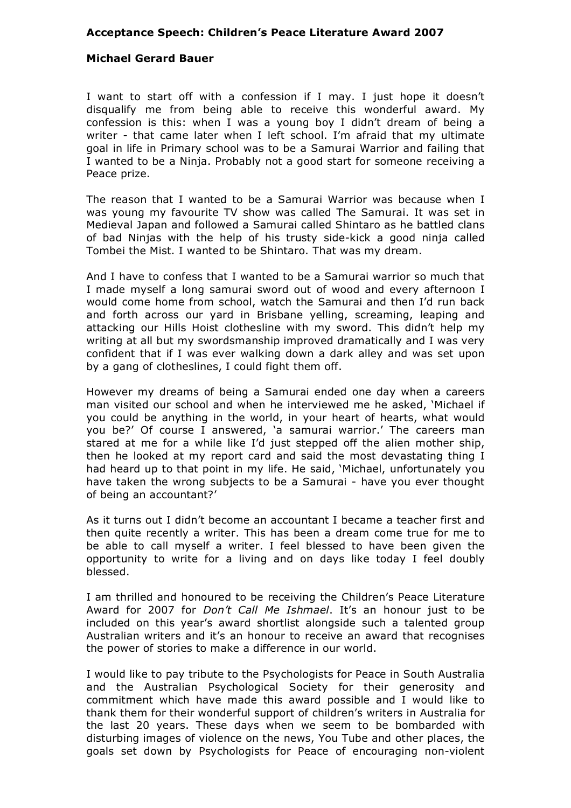## **Acceptance Speech: Children's Peace Literature Award 2007**

## **Michael Gerard Bauer**

I want to start off with a confession if I may. I just hope it doesn't disqualify me from being able to receive this wonderful award. My confession is this: when I was a young boy I didn't dream of being a writer - that came later when I left school. I'm afraid that my ultimate goal in life in Primary school was to be a Samurai Warrior and failing that I wanted to be a Ninja. Probably not a good start for someone receiving a Peace prize.

The reason that I wanted to be a Samurai Warrior was because when I was young my favourite TV show was called The Samurai. It was set in Medieval Japan and followed a Samurai called Shintaro as he battled clans of bad Ninjas with the help of his trusty side-kick a good ninja called Tombei the Mist. I wanted to be Shintaro. That was my dream.

And I have to confess that I wanted to be a Samurai warrior so much that I made myself a long samurai sword out of wood and every afternoon I would come home from school, watch the Samurai and then I'd run back and forth across our yard in Brisbane yelling, screaming, leaping and attacking our Hills Hoist clothesline with my sword. This didn't help my writing at all but my swordsmanship improved dramatically and I was very confident that if I was ever walking down a dark alley and was set upon by a gang of clotheslines, I could fight them off.

However my dreams of being a Samurai ended one day when a careers man visited our school and when he interviewed me he asked, 'Michael if you could be anything in the world, in your heart of hearts, what would you be?' Of course I answered, 'a samurai warrior.' The careers man stared at me for a while like I'd just stepped off the alien mother ship, then he looked at my report card and said the most devastating thing I had heard up to that point in my life. He said, 'Michael, unfortunately you have taken the wrong subjects to be a Samurai - have you ever thought of being an accountant?'

As it turns out I didn't become an accountant I became a teacher first and then quite recently a writer. This has been a dream come true for me to be able to call myself a writer. I feel blessed to have been given the opportunity to write for a living and on days like today I feel doubly blessed.

I am thrilled and honoured to be receiving the Children's Peace Literature Award for 2007 for *Don't Call Me Ishmael*. It's an honour just to be included on this year's award shortlist alongside such a talented group Australian writers and it's an honour to receive an award that recognises the power of stories to make a difference in our world.

I would like to pay tribute to the Psychologists for Peace in South Australia and the Australian Psychological Society for their generosity and commitment which have made this award possible and I would like to thank them for their wonderful support of children's writers in Australia for the last 20 years. These days when we seem to be bombarded with disturbing images of violence on the news, You Tube and other places, the goals set down by Psychologists for Peace of encouraging non-violent